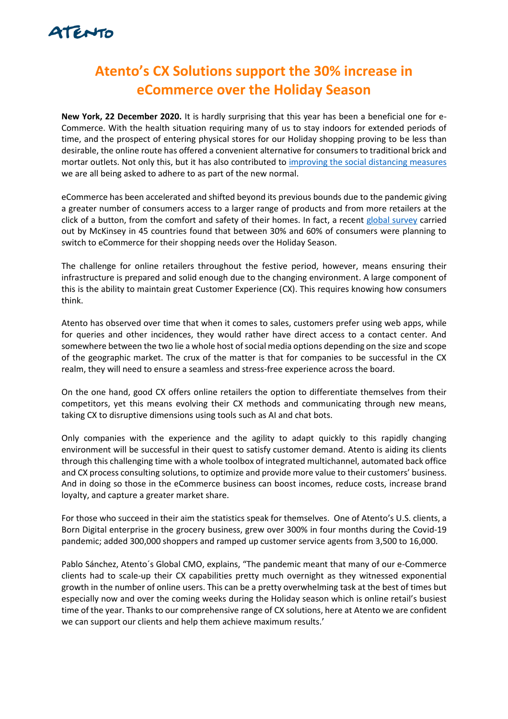

## **Atento's CX Solutions support the 30% increase in eCommerce over the Holiday Season**

**New York, 22 December 2020.** It is hardly surprising that this year has been a beneficial one for e-Commerce. With the health situation requiring many of us to stay indoors for extended periods of time, and the prospect of entering physical stores for our Holiday shopping proving to be less than desirable, the online route has offered a convenient alternative for consumers to traditional brick and mortar outlets. Not only this, but it has also contributed to [improving the social distancing measures](http://www.oecd.org/coronavirus/policy-responses/e-commerce-in-the-time-of-covid-19-3a2b78e8/) we are all being asked to adhere to as part of the new normal.

eCommerce has been accelerated and shifted beyond its previous bounds due to the pandemic giving a greater number of consumers access to a larger range of products and from more retailers at the click of a button, from the comfort and safety of their homes. In fact, a recent [global survey](https://www.mckinsey.com/business-functions/marketing-and-sales/our-insights/a-global-view-of-how-consumer-behavior-is-changing-amid-covid-19) carried out by McKinsey in 45 countries found that between 30% and 60% of consumers were planning to switch to eCommerce for their shopping needs over the Holiday Season.

The challenge for online retailers throughout the festive period, however, means ensuring their infrastructure is prepared and solid enough due to the changing environment. A large component of this is the ability to maintain great Customer Experience (CX). This requires knowing how consumers think.

Atento has observed over time that when it comes to sales, customers prefer using web apps, while for queries and other incidences, they would rather have direct access to a contact center. And somewhere between the two lie a whole host of social media options depending on the size and scope of the geographic market. The crux of the matter is that for companies to be successful in the CX realm, they will need to ensure a seamless and stress-free experience across the board.

On the one hand, good CX offers online retailers the option to differentiate themselves from their competitors, yet this means evolving their CX methods and communicating through new means, taking CX to disruptive dimensions using tools such as AI and chat bots.

Only companies with the experience and the agility to adapt quickly to this rapidly changing environment will be successful in their quest to satisfy customer demand. Atento is aiding its clients through this challenging time with a whole toolbox of integrated multichannel, automated back office and CX process consulting solutions, to optimize and provide more value to their customers' business. And in doing so those in the eCommerce business can boost incomes, reduce costs, increase brand loyalty, and capture a greater market share.

For those who succeed in their aim the statistics speak for themselves. One of Atento's U.S. clients, a Born Digital enterprise in the grocery business, grew over 300% in four months during the Covid-19 pandemic; added 300,000 shoppers and ramped up customer service agents from 3,500 to 16,000.

Pablo Sánchez, Atento´s Global CMO, explains, "The pandemic meant that many of our e-Commerce clients had to scale-up their CX capabilities pretty much overnight as they witnessed exponential growth in the number of online users. This can be a pretty overwhelming task at the best of times but especially now and over the coming weeks during the Holiday season which is online retail's busiest time of the year. Thanks to our comprehensive range of CX solutions, here at Atento we are confident we can support our clients and help them achieve maximum results.'